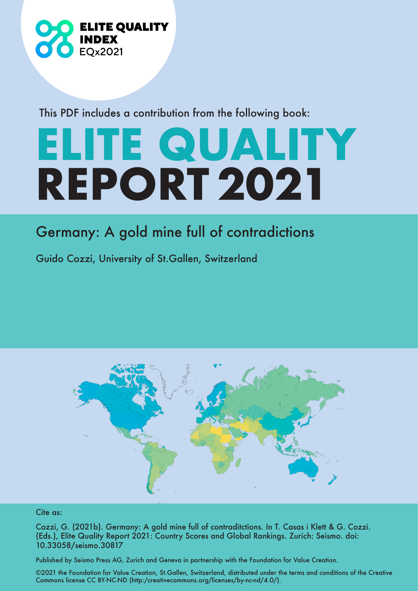

This PDF includes a contribution from the following book:

## **ELITE QUALITY REPORT 2021**

## Germany: A gold mine full of contradictions

Guido Cozzi, University of St.Gallen, Switzerland



## Cite as:

Cozzi, G. (2021b). Germany: A gold mine full of contraditctions. In T. Casas i Klett & G. Cozzi. (Eds.), Elite Quality Report 2021: Country Scores and Global Rankings. Zurich: Seismo. doi: 10.33058/seismo.30817

Published by Seismo Press AG, Zurich and Geneva in partnership with the Foundation for Value Creation.

©2021 the Foundation for Value Creation, St.Gallen, Switzerland, distributed under the terms and conditions of the Creative Commons license CC BY-NC-ND (http:/creativecommons.org/licenses/by-nc-nd/4.0/).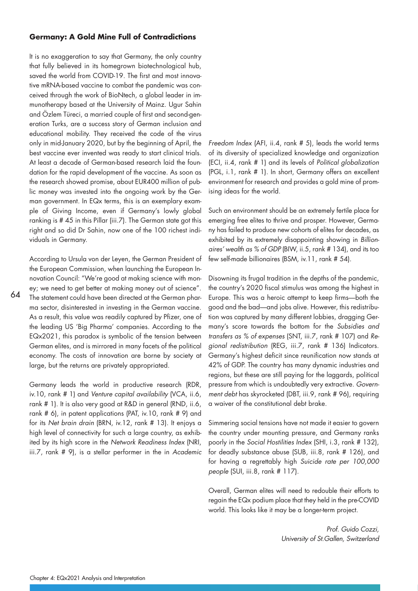## **Germany: A Gold Mine Full of Contradictions**

It is no exaggeration to say that Germany, the only country that fully believed in its homegrown biotechnological hub, saved the world from COVID-19. The first and most innovative mRNA-based vaccine to combat the pandemic was conceived through the work of BioNtech, a global leader in immunotherapy based at the University of Mainz. Ugur Sahin and Özlem Türeci, a married couple of first and second-generation Turks, are a success story of German inclusion and educational mobility. They received the code of the virus only in mid-January 2020, but by the beginning of April, the best vaccine ever invented was ready to start clinical trials. At least a decade of German-based research laid the foundation for the rapid development of the vaccine. As soon as the research showed promise, about EUR400 million of public money was invested into the ongoing work by the German government. In EQx terms, this is an exemplary example of Giving Income, even if Germany's lowly global ranking is # 45 in this Pillar (iii.7). The German state got this right and so did Dr Sahin, now one of the 100 richest individuals in Germany.

According to Ursula von der Leyen, the German President of the European Commission, when launching the European Innovation Council: "We're good at making science with money; we need to get better at making money out of science". The statement could have been directed at the German pharma sector, disinterested in investing in the German vaccine. As a result, this value was readily captured by Pfizer, one of the leading US 'Big Pharma' companies. According to the EQx2021, this paradox is symbolic of the tension between German elites, and is mirrored in many facets of the political economy. The costs of innovation are borne by society at large, but the returns are privately appropriated.

64

Germany leads the world in productive research (RDR, iv.10, rank # 1) and Venture capital availability (VCA, ii.6, rank # 1). It is also very good at R&D in general (RND, ii.6, rank # 6), in patent applications (PAT, iv.10, rank # 9) and for its Net brain drain (BRN, iv.12, rank # 13). It enjoys a high level of connectivity for such a large country, as exhibited by its high score in the Network Readiness Index (NRI, iii.7, rank # 9), is a stellar performer in the in Academic

Freedom Index (AFI, ii.4, rank # 5), leads the world terms of its diversity of specialized knowledge and organization (ECI, ii.4, rank # 1) and its levels of Political globalization (PGL, i.1, rank # 1). In short, Germany offers an excellent environment for research and provides a gold mine of promising ideas for the world.

Such an environment should be an extremely fertile place for emerging free elites to thrive and prosper. However, Germany has failed to produce new cohorts of elites for decades, as exhibited by its extremely disappointing showing in Billionaires' wealth as % of GDP (BIW, ii.5, rank # 134), and its too few self-made billionaires (BSM, iv.11, rank # 54).

Disowning its frugal tradition in the depths of the pandemic, the country's 2020 fiscal stimulus was among the highest in Europe. This was a heroic attempt to keep firms—both the good and the bad—and jobs alive. However, this redistribution was captured by many different lobbies, dragging Germany's score towards the bottom for the Subsidies and transfers as % of expenses (SNT, iii.7, rank # 107) and Regional redistribution (REG, iii.7, rank # 136) Indicators. Germany's highest deficit since reunification now stands at 42% of GDP. The country has many dynamic industries and regions, but these are still paying for the laggards, political pressure from which is undoubtedly very extractive. Government debt has skyrocketed (DBT, iii.9, rank # 96), requiring a waiver of the constitutional debt brake.

Simmering social tensions have not made it easier to govern the country under mounting pressure, and Germany ranks poorly in the Social Hostilities Index (SHI, i.3, rank # 132), for deadly substance abuse (SUB, iii.8, rank # 126), and for having a regrettably high Suicide rate per 100,000 people (SUI, iii.8, rank # 117).

Overall, German elites will need to redouble their efforts to regain the EQx podium place that they held in the pre-COVID world. This looks like it may be a longer-term project.

> Prof. Guido Cozzi, University of St.Gallen, Switzerland